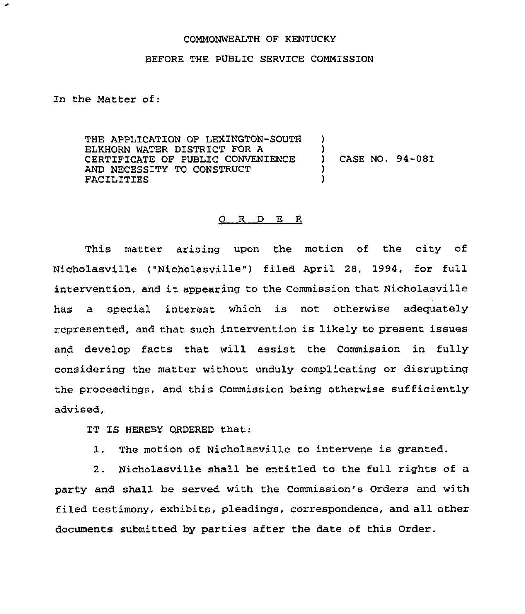## COMMONWEALTH OF KENTUCKY

## BEFORE THE PUBLIC SERVICE COMMISSION

In the Matter of:

٠

THE APPLICATION OF LEXINGTON-SOUTH ELKHORN WATER DISTRICT FOR A CERTIFICATE OF PUBLIC CONVENIENCE AND NECESSITY TO CONSTRUCT FACILITIES ) )<br>) ) CASE NO. 94-081 ) )

## O R D E R

This matter arising upon the motion of the city of Nicholasville ("Nicholasville") filed April 28, 1994, for full intervention, and it appearing to the Commission that Nicholasville has a special interest which is not otherwise adequately represented, and that such intervention is likely to present issues and develop facts that will assist the Commission in fully considering the matter without unduly complicating or disrupting the proceedings, and this Commission heing otherwise sufficiently advised,

IT IS HEREBY ORDERED that:

1. The motion of Nicholasville to intervene is granted.

2. Nicholasville shall be entitled to the full rights of a party and shall be served with the Commission's Orders and with filed testimony, exhibits, pleadings, correspondence, and all other documents submitted by parties after the date of this Order.